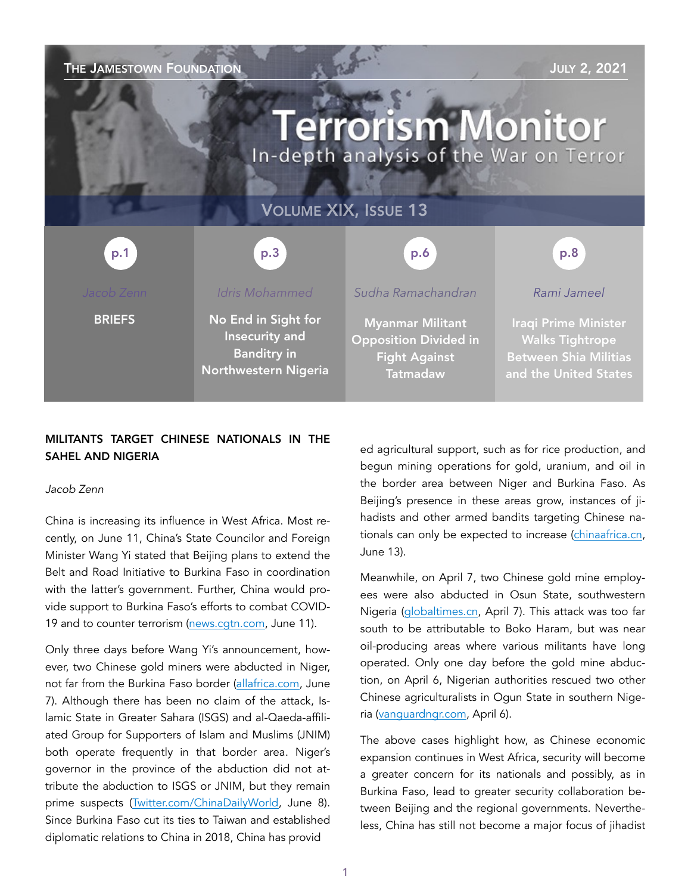# THE JAMESTOWN FOUNDATION **THE SECTION** SECTION AND THE SECTION AND THE SECTION AND THE SECTION AND THE SECTION OF STREET AND THE SECTION OF STREET AND THE SECTION OF STREET AND THE SECTION OF STREET AND THE SECTION OF STRE **Terrorism Monitor** In-depth analysis of the War on Terror VOLUME XIX, ISSUE 13 p.3 p.1 p.1 p.3 p.3 p.6 p.6 p.8 p.8 *Idris Mohammed Sudha Ramachandran Rami Jameel*  **BRIEFS** No End in Sight for Myanmar Militant Iraqi Prime Minister Insecurity and Opposition Divided in Walks Tightrope Banditry in Between Shia Militias Fight Against Northwestern Nigeria **Tatmadaw** and the United States

# MILITANTS TARGET CHINESE NATIONALS IN THE SAHEL AND NIGERIA

#### *Jacob Zenn*

China is increasing its influence in West Africa. Most recently, on June 11, China's State Councilor and Foreign Minister Wang Yi stated that Beijing plans to extend the Belt and Road Initiative to Burkina Faso in coordination with the latter's government. Further, China would provide support to Burkina Faso's efforts to combat COVID19 and to counter terrorism ([news.cgtn.com,](https://news.cgtn.com/news/2021-06-11/China-hopes-to-ink-BRI-cooperation-documents-with-Burkina-Faso-soon--10ZSV0fANyM/index.html) June 11).

Only three days before Wang Yi's announcement, however, two Chinese gold miners were abducted in Niger, not far from the Burkina Faso border [\(allafrica.com](https://allafrica.com/stories/202106080070.html?utm_source=dlvr.it&utm_medium=twitter), June 7). Although there has been no claim of the attack, Islamic State in Greater Sahara (ISGS) and al-Qaeda-affiliated Group for Supporters of Islam and Muslims (JNIM) both operate frequently in that border area. Niger's governor in the province of the abduction did not attribute the abduction to ISGS or JNIM, but they remain prime suspects [\(Twitter.com/ChinaDailyWorld,](https://twitter.com/ChinaDailyWorld/status/1402158346149498884) June 8). Since Burkina Faso cut its ties to Taiwan and established diplomatic relations to China in 2018, China has provid

ed agricultural support, such as for rice production, and begun mining operations for gold, uranium, and oil in the border area between Niger and Burkina Faso. As Beijing's presence in these areas grow, instances of jihadists and other armed bandits targeting Chinese nationals can only be expected to increase ([chinaafrica.cn](http://www.chinafrica.cn/Homepage/202105/t20210528_800247863.html), June 13).

Meanwhile, on April 7, two Chinese gold mine employees were also abducted in Osun State, southwestern Nigeria [\(globaltimes.cn,](https://www.globaltimes.cn/page/202104/1220501.shtml) April 7). This attack was too far south to be attributable to Boko Haram, but was near oil-producing areas where various militants have long operated. Only one day before the gold mine abduction, on April 6, Nigerian authorities rescued two other Chinese agriculturalists in Ogun State in southern Nigeria ([vanguardngr.com](https://www.vanguardngr.com/2021/04/two-chinese-nationals-rescued-without-payment-of-ransom-ogun-police/), April 6).

The above cases highlight how, as Chinese economic expansion continues in West Africa, security will become a greater concern for its nationals and possibly, as in Burkina Faso, lead to greater security collaboration between Beijing and the regional governments. Nevertheless, China has still not become a major focus of jihadist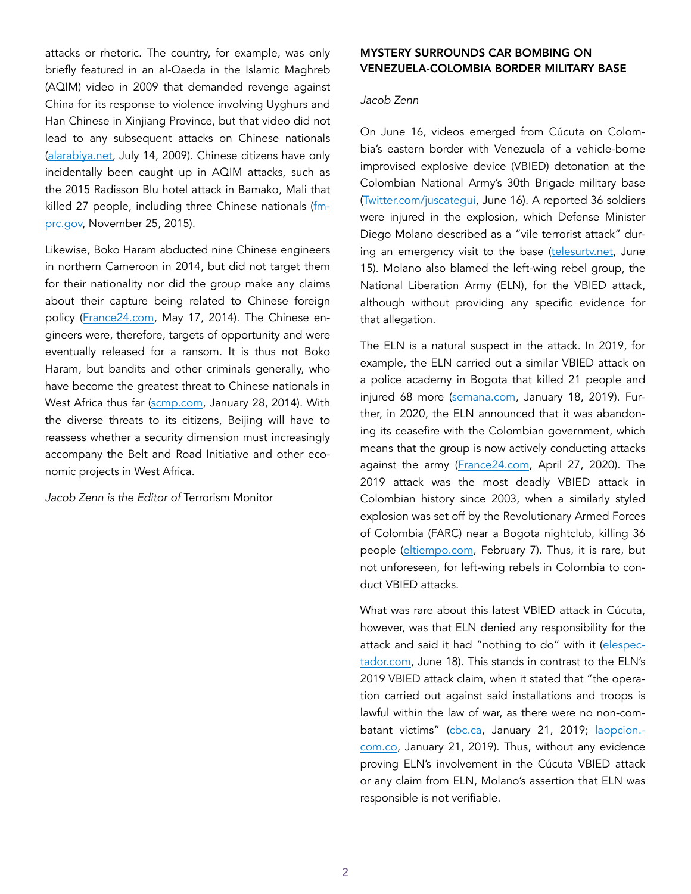attacks or rhetoric. The country, for example, was only briefly featured in an al-Qaeda in the Islamic Maghreb (AQIM) video in 2009 that demanded revenge against China for its response to violence involving Uyghurs and Han Chinese in Xinjiang Province, but that video did not lead to any subsequent attacks on Chinese nationals ([alarabiya.net,](https://www.alarabiya.net/articles/2009%2F07%2F14%2F78685) July 14, 2009). Chinese citizens have only incidentally been caught up in AQIM attacks, such as the 2015 Radisson Blu hotel attack in Bamako, Mali that killed 27 people, including three Chinese nationals ([fm](https://www.fmprc.gov.cn/zfhzlt2018/eng/ttxx_1/t1317909.htm)[prc.gov,](https://www.fmprc.gov.cn/zfhzlt2018/eng/ttxx_1/t1317909.htm) November 25, 2015).

Likewise, Boko Haram abducted nine Chinese engineers in northern Cameroon in 2014, but did not target them for their nationality nor did the group make any claims about their capture being related to Chinese foreign policy [\(France24.com,](https://www.france24.com/en/20140517-cameroon-boko-haram-attack-chinese) May 17, 2014). The Chinese engineers were, therefore, targets of opportunity and were eventually released for a ransom. It is thus not Boko Haram, but bandits and other criminals generally, who have become the greatest threat to Chinese nationals in West Africa thus far ([scmp.com,](https://www.scmp.com/news/world/article/1415334/gunmen-kill-chinese-construction-worker-wound-two-others-nigeria) January 28, 2014). With the diverse threats to its citizens, Beijing will have to reassess whether a security dimension must increasingly accompany the Belt and Road Initiative and other economic projects in West Africa.

*Jacob Zenn is the Editor of* Terrorism Monitor

# MYSTERY SURROUNDS CAR BOMBING ON VENEZUELA-COLOMBIA BORDER MILITARY BASE

### *Jacob Zenn*

On June 16, videos emerged from Cúcuta on Colombia's eastern border with Venezuela of a vehicle-borne improvised explosive device (VBIED) detonation at the Colombian National Army's 30th Brigade military base ([Twitter.com/juscategui,](https://twitter.com/jjUscategui/status/1404904522443599873) June 16). A reported 36 soldiers were injured in the explosion, which Defense Minister Diego Molano described as a "vile terrorist attack" during an emergency visit to the base ([telesurtv.net](https://www.telesurtv.net/news/colombia-explota-carro-bomba-brigada-ejercito-cucuta-20210615-0032.html), June 15). Molano also blamed the left-wing rebel group, the National Liberation Army (ELN), for the VBIED attack, although without providing any specific evidence for that allegation.

The ELN is a natural suspect in the attack. In 2019, for example, the ELN carried out a similar VBIED attack on a police academy in Bogota that killed 21 people and injured 68 more ([semana.com](https://www.semana.com/nacion/articulo/asi-fue-el-paso-a-paso-del-terrorista-jose-aldemar-que-apunto-definitivamente-al-eln/598145/), January 18, 2019). Further, in 2020, the ELN announced that it was abandoning its ceasefire with the Colombian government, which means that the group is now actively conducting attacks against the army ([France24.com](https://www.france24.com/en/20200427-colombia-s-eln-rebels-scrap-ceasefire), April 27, 2020). The 2019 attack was the most deadly VBIED attack in Colombian history since 2003, when a similarly styled explosion was set off by the Revolutionary Armed Forces of Colombia (FARC) near a Bogota nightclub, killing 36 people ([eltiempo.com](https://www.eltiempo.com/justicia/jep-colombia/atentado-al-club-el-nogal-se-cumplen-18-anos-del-carro-bomba-en-que-va-el-proceso-judicial-565243), February 7). Thus, it is rare, but not unforeseen, for left-wing rebels in Colombia to conduct VBIED attacks.

What was rare about this latest VBIED attack in Cúcuta, however, was that ELN denied any responsibility for the attack and said it had "nothing to do" with it [\(elespec](https://www.elespectador.com/judicial/eln-dice-que-no-tuvo-nada-que-ver-en-el-atentado-a-base-militar-en-cucuta/)[tador.com](https://www.elespectador.com/judicial/eln-dice-que-no-tuvo-nada-que-ver-en-el-atentado-a-base-militar-en-cucuta/), June 18). This stands in contrast to the ELN's 2019 VBIED attack claim, when it stated that "the operation carried out against said installations and troops is lawful within the law of war, as there were no non-com-batant victims" [\(cbc.ca](https://www.cbc.ca/news/world/colombia-eln-rebels-car-bomb-responsibility-1.4986955), January 21, 2019; [laopcion.](http://laopcion.com.co/el-camino-es-la-solucion-politica-del-conflicto-eln/) [com.co](http://laopcion.com.co/el-camino-es-la-solucion-politica-del-conflicto-eln/), January 21, 2019). Thus, without any evidence proving ELN's involvement in the Cúcuta VBIED attack or any claim from ELN, Molano's assertion that ELN was responsible is not verifiable.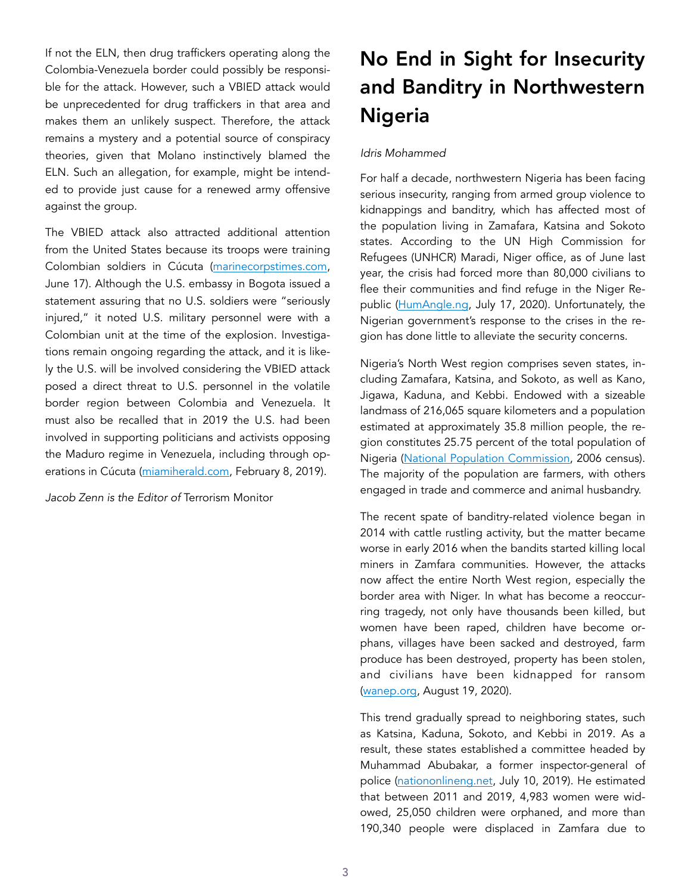If not the ELN, then drug traffickers operating along the Colombia-Venezuela border could possibly be responsible for the attack. However, such a VBIED attack would be unprecedented for drug traffickers in that area and makes them an unlikely suspect. Therefore, the attack remains a mystery and a potential source of conspiracy theories, given that Molano instinctively blamed the ELN. Such an allegation, for example, might be intended to provide just cause for a renewed army offensive against the group.

The VBIED attack also attracted additional attention from the United States because its troops were training Colombian soldiers in Cúcuta ([marinecorpstimes.com,](https://www.marinecorpstimes.com/flashpoints/2021/06/16/us-soldiers-unharmed-after-car-bomb-explodes-inside-colombia-military-base-injuring-dozens-embassy/) June 17). Although the U.S. embassy in Bogota issued a statement assuring that no U.S. soldiers were "seriously injured," it noted U.S. military personnel were with a Colombian unit at the time of the explosion. Investigations remain ongoing regarding the attack, and it is likely the U.S. will be involved considering the VBIED attack posed a direct threat to U.S. personnel in the volatile border region between Colombia and Venezuela. It must also be recalled that in 2019 the U.S. had been involved in supporting politicians and activists opposing the Maduro regime in Venezuela, including through operations in Cúcuta ([miamiherald.com](https://www.miamiherald.com/news/nation-world/world/americas/venezuela/article225996580.html), February 8, 2019).

*Jacob Zenn is the Editor of* Terrorism Monitor

# No End in Sight for Insecurity and Banditry in Northwestern Nigeria

## *Idris Mohammed*

For half a decade, northwestern Nigeria has been facing serious insecurity, ranging from armed group violence to kidnappings and banditry, which has affected most of the population living in Zamafara, Katsina and Sokoto states. According to the UN High Commission for Refugees (UNHCR) Maradi, Niger office, as of June last year, the crisis had forced more than 80,000 civilians to flee their communities and find refuge in the Niger Republic ([HumAngle.ng](https://humangle.ng/70000-flee-terror-attacks-in-nigerias-sokoto-katsina-states/), July 17, 2020). Unfortunately, the Nigerian government's response to the crises in the region has done little to alleviate the security concerns.

Nigeria's North West region comprises seven states, including Zamafara, Katsina, and Sokoto, as well as Kano, Jigawa, Kaduna, and Kebbi. Endowed with a sizeable landmass of 216,065 square kilometers and a population estimated at approximately 35.8 million people, the region constitutes 25.75 percent of the total population of Nigeria ([National Population Commission](https://gazettes.africa/archive/ng/2009/ng-government-gazette-dated-2009-02-02-no-2.pdf), 2006 census). The majority of the population are farmers, with others engaged in trade and commerce and animal husbandry.

The recent spate of banditry-related violence began in 2014 with cattle rustling activity, but the matter became worse in early 2016 when the bandits started killing local miners in Zamfara communities. However, the attacks now affect the entire North West region, especially the border area with Niger. In what has become a reoccurring tragedy, not only have thousands been killed, but women have been raped, children have become orphans, villages have been sacked and destroyed, farm produce has been destroyed, property has been stolen, and civilians have been kidnapped for ransom ([wanep.org,](https://wanep.org/wanep/policy-brief-addressing-armed-banditry-in-the-north-west-region-of-nigeria-exploring-the-potentials-of-a-multi-dimensional-conflict-management-approach-2/) August 19, 2020).

This trend gradually spread to neighboring states, such as Katsina, Kaduna, Sokoto, and Kebbi in 2019. As a result, these states established a committee headed by Muhammad Abubakar, a former inspector-general of police [\(nationonlineng.net,](https://thenationonlineng.net/ex-igp-heads-panel-to-proffer-solution-to-banditry-in-zamfara/) July 10, 2019). He estimated that between 2011 and 2019, 4,983 women were widowed, 25,050 children were orphaned, and more than 190,340 people were displaced in Zamfara due to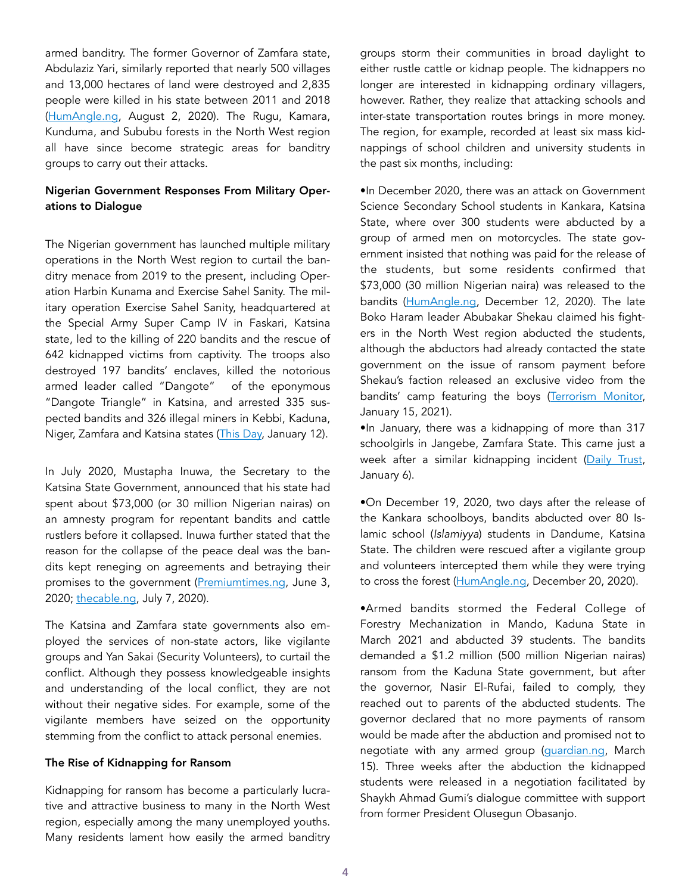armed banditry. The former Governor of Zamfara state, Abdulaziz Yari, similarly reported that nearly 500 villages and 13,000 hectares of land were destroyed and 2,835 people were killed in his state between 2011 and 2018 ([HumAngle.ng,](https://humangle.ng/insecurity-in-northwest-nigeria-exporting-humanitarian-crisis-to-niger-republic/) August 2, 2020). The Rugu, Kamara, Kunduma, and Sububu forests in the North West region all have since become strategic areas for banditry groups to carry out their attacks.

## Nigerian Government Responses From Military Operations to Dialogue

The Nigerian government has launched multiple military operations in the North West region to curtail the banditry menace from 2019 to the present, including Operation Harbin Kunama and Exercise Sahel Sanity. The military operation Exercise Sahel Sanity, headquartered at the Special Army Super Camp IV in Faskari, Katsina state, led to the killing of 220 bandits and the rescue of 642 kidnapped victims from captivity. The troops also destroyed 197 bandits' enclaves, killed the notorious armed leader called "Dangote" of the eponymous "Dangote Triangle" in Katsina, and arrested 335 suspected bandits and 326 illegal miners in Kebbi, Kaduna, Niger, Zamfara and Katsina states [\(This Day,](https://www.thisdaylive.com/index.php/2021/01/12/x-raying-successes-of-operation-sahel-sanity-in-north-west/) January 12).

In July 2020, Mustapha Inuwa, the Secretary to the Katsina State Government, announced that his state had spent about \$73,000 (or 30 million Nigerian nairas) on an amnesty program for repentant bandits and cattle rustlers before it collapsed. Inuwa further stated that the reason for the collapse of the peace deal was the bandits kept reneging on agreements and betraying their promises to the government [\(Premiumtimes.ng](https://www.premiumtimesng.com/regional/nwest/395913-weve-pulled-out-from-peace-agreement-with-bandits-katsina-governor.html), June 3, 2020; [thecable.ng,](https://www.thecable.ng/katsina-we-spent-n30m-on-amnesty-programme-for-bandits) July 7, 2020).

The Katsina and Zamfara state governments also employed the services of non-state actors, like vigilante groups and Yan Sakai (Security Volunteers), to curtail the conflict. Although they possess knowledgeable insights and understanding of the local conflict, they are not without their negative sides. For example, some of the vigilante members have seized on the opportunity stemming from the conflict to attack personal enemies.

#### The Rise of Kidnapping for Ransom

Kidnapping for ransom has become a particularly lucrative and attractive business to many in the North West region, especially among the many unemployed youths. Many residents lament how easily the armed banditry groups storm their communities in broad daylight to either rustle cattle or kidnap people. The kidnappers no longer are interested in kidnapping ordinary villagers, however. Rather, they realize that attacking schools and inter-state transportation routes brings in more money. The region, for example, recorded at least six mass kidnappings of school children and university students in the past six months, including:

•In December 2020, there was an attack on Government Science Secondary School students in Kankara, Katsina State, where over 300 students were abducted by a group of armed men on motorcycles. The state government insisted that nothing was paid for the release of the students, but some residents confirmed that \$73,000 (30 million Nigerian naira) was released to the bandits ([HumAngle.ng](https://humangle.ng/breaking-dozens-of-secondary-school-students-kidnapped-in-katsina/), December 12, 2020). The late Boko Haram leader Abubakar Shekau claimed his fighters in the North West region abducted the students, although the abductors had already contacted the state government on the issue of ransom payment before Shekau's faction released an exclusive video from the bandits' camp featuring the boys ([Terrorism Monitor,](https://jamestown.org/program/boko-harams-pan-nigerian-affiliate-system-after-the-kankara-kidnapping-a-microcosm-of-islamic-states-external-provinces/) January 15, 2021).

•In January, there was a kidnapping of more than 317 schoolgirls in Jangebe, Zamfara State. This came just a week after a similar kidnapping incident ([Daily Trust](https://dailytrust.com/abductors-of-jangebe-schoolgirls-behind-tegina-students-kidnap), January 6).

•On December 19, 2020, two days after the release of the Kankara schoolboys, bandits abducted over 80 Islamic school (*Islamiyya*) students in Dandume, Katsina State. The children were rescued after a vigilante group and volunteers intercepted them while they were trying to cross the forest [\(HumAngle.ng,](https://humangle.ng/48-hours-after-kankara-boys-release-armed-group-abducts-childre) December 20, 2020).

•Armed bandits stormed the Federal College of Forestry Mechanization in Mando, Kaduna State in March 2021 and abducted 39 students. The bandits demanded a \$1.2 million (500 million Nigerian nairas) ransom from the Kaduna State government, but after the governor, Nasir El-Rufai, failed to comply, they reached out to parents of the abducted students. The governor declared that no more payments of ransom would be made after the abduction and promised not to negotiate with any armed group [\(guardian.ng](https://guardian.ng/news/bandits-kidnap-students-teachers-in-kaduna-school/), March 15). Three weeks after the abduction the kidnapped students were released in a negotiation facilitated by Shaykh Ahmad Gumi's dialogue committee with support from former President Olusegun Obasanjo.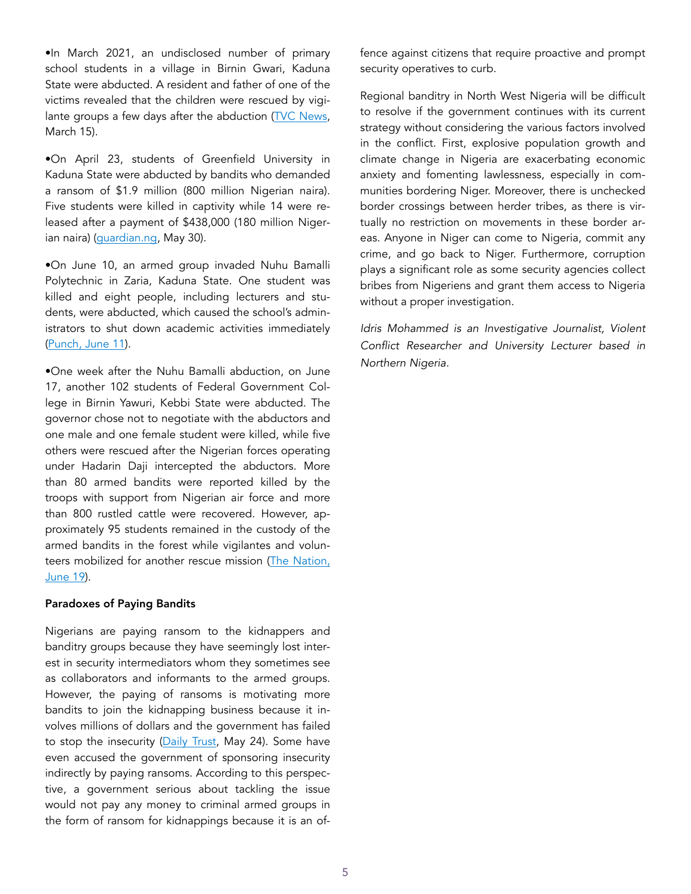•In March 2021, an undisclosed number of primary school students in a village in Birnin Gwari, Kaduna State were abducted. A resident and father of one of the victims revealed that the children were rescued by vigi-lante groups a few days after the abduction ([TVC News,](https://www.tvcnews.tv/bandits-abduct-unknown-number-of-primary-school-students-in-kaduna/) March 15).

•On April 23, students of Greenfield University in Kaduna State were abducted by bandits who demanded a ransom of \$1.9 million (800 million Nigerian naira). Five students were killed in captivity while 14 were released after a payment of \$438,000 (180 million Nigerian naira) ([guardian.ng](https://gua), May 30).

•On June 10, an armed group invaded Nuhu Bamalli Polytechnic in Zaria, Kaduna State. One student was killed and eight people, including lecturers and students, were abducted, which caused the school's administrators to shut down academic activities immediately ([Punch, June 11\)](https://punchng.com/updated-bandits-kill-one-kidnap-two-lecturers-eight-students-in-nuhu-bamali-poly-kaduna/).

•One week after the Nuhu Bamalli abduction, on June 17, another 102 students of Federal Government College in Birnin Yawuri, Kebbi State were abducted. The governor chose not to negotiate with the abductors and one male and one female student were killed, while five others were rescued after the Nigerian forces operating under Hadarin Daji intercepted the abductors. More than 80 armed bandits were reported killed by the troops with support from Nigerian air force and more than 800 rustled cattle were recovered. However, approximately 95 students remained in the custody of the armed bandits in the forest while vigilantes and volunteers mobilized for another rescue mission [\(The Nation,](https://thenationonlineng.net/scores-killed-as-troops-vigilantes-ambush-ke)  [June 19](https://thenationonlineng.net/scores-killed-as-troops-vigilantes-ambush-ke)).

#### Paradoxes of Paying Bandits

Nigerians are paying ransom to the kidnappers and banditry groups because they have seemingly lost interest in security intermediators whom they sometimes see as collaborators and informants to the armed groups. However, the paying of ransoms is motivating more bandits to join the kidnapping business because it involves millions of dollars and the government has failed to stop the insecurity [\(Daily Trust,](https://guardian.ng/news/greenfield-students-parents-paid-n180-million-to-kidnappers/) May 24). Some have even accused the government of sponsoring insecurity indirectly by paying ransoms. According to this perspective, a government serious about tackling the issue would not pay any money to criminal armed groups in the form of ransom for kidnappings because it is an offence against citizens that require proactive and prompt security operatives to curb.

Regional banditry in North West Nigeria will be difficult to resolve if the government continues with its current strategy without considering the various factors involved in the conflict. First, explosive population growth and climate change in Nigeria are exacerbating economic anxiety and fomenting lawlessness, especially in communities bordering Niger. Moreover, there is unchecked border crossings between herder tribes, as there is virtually no restriction on movements in these border areas. Anyone in Niger can come to Nigeria, commit any crime, and go back to Niger. Furthermore, corruption plays a significant role as some security agencies collect bribes from Nigeriens and grant them access to Nigeria without a proper investigation.

*Idris Mohammed is an Investigative Journalist, Violent Conflict Researcher and University Lecturer based in Northern Nigeria.*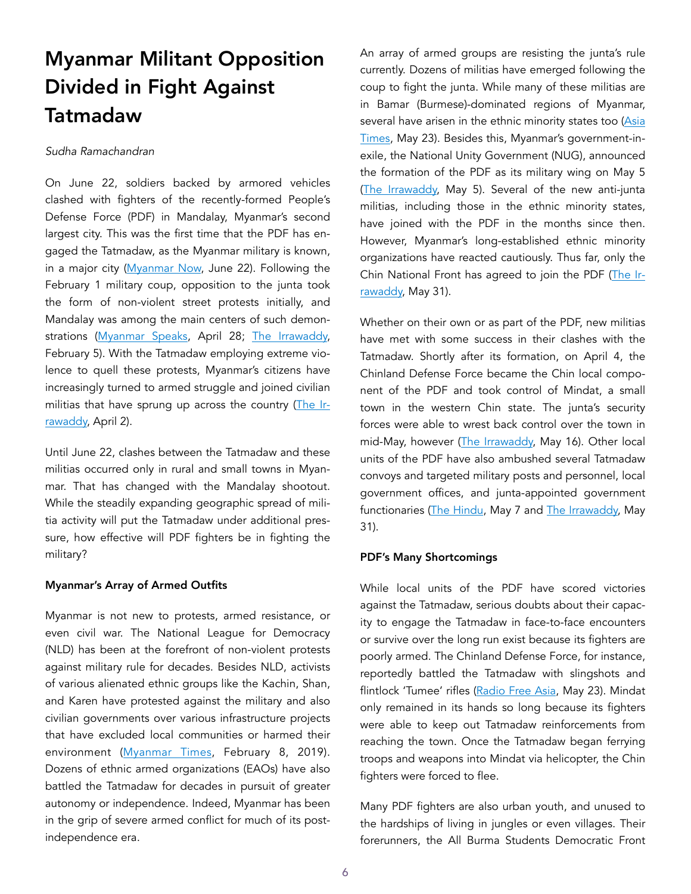# Myanmar Militant Opposition Divided in Fight Against Tatmadaw

### *Sudha Ramachandran*

On June 22, soldiers backed by armored vehicles clashed with fighters of the recently-formed People's Defense Force (PDF) in Mandalay, Myanmar's second largest city. This was the first time that the PDF has engaged the Tatmadaw, as the Myanmar military is known, in a major city [\(Myanmar Now](https://www.myanmar-now.org/en/news/mandalay-pdf-declares-war-on-junta), June 22). Following the February 1 military coup, opposition to the junta took the form of non-violent street protests initially, and Mandalay was among the main centers of such demonstrations ([Myanmar Speaks](https://www.myanmarspeaks.com/posts/protests-and-abduction-continued-in-mandalay-27-april), April 28; [The Irrawaddy,](https://www.irrawaddy.com/news/burma/thousands-join-peaceful-protests-myanmar-military.html) February 5). With the Tatmadaw employing extreme violence to quell these protests, Myanmar's citizens have increasingly turned to armed struggle and joined civilian militias that have sprung up across the country [\(The Ir](https://www.irrawaddy.com/opinion/commentary/junta-dragging-myanmar-full-blown-civil-war.html)[rawaddy,](https://www.irrawaddy.com/opinion/commentary/junta-dragging-myanmar-full-blown-civil-war.html) April 2).

Until June 22, clashes between the Tatmadaw and these militias occurred only in rural and small towns in Myanmar. That has changed with the Mandalay shootout. While the steadily expanding geographic spread of militia activity will put the Tatmadaw under additional pressure, how effective will PDF fighters be in fighting the military?

#### Myanmar's Array of Armed Outfits

Myanmar is not new to protests, armed resistance, or even civil war. The National League for Democracy (NLD) has been at the forefront of non-violent protests against military rule for decades. Besides NLD, activists of various alienated ethnic groups like the Kachin, Shan, and Karen have protested against the military and also civilian governments over various infrastructure projects that have excluded local communities or harmed their environment ([Myanmar Times,](https://www.mmtimes.com/news/thousands-protest-against-myitsone-dam-kachin.html) February 8, 2019). Dozens of ethnic armed organizations (EAOs) have also battled the Tatmadaw for decades in pursuit of greater autonomy or independence. Indeed, Myanmar has been in the grip of severe armed conflict for much of its postindependence era.

An array of armed groups are resisting the junta's rule currently. Dozens of militias have emerged following the coup to fight the junta. While many of these militias are in Bamar (Burmese)-dominated regions of Myanmar, several have arisen in the ethnic minority states too [\(Asia](https://asiatimes.com/2021/05/why-myanmars-civil-war-wont-be-like-syrias/) [Times,](https://asiatimes.com/2021/05/why-myanmars-civil-war-wont-be-like-syrias/) May 23). Besides this, Myanmar's government-inexile, the National Unity Government (NUG), announced the formation of the PDF as its military wing on May 5 ([The Irrawaddy,](https://www.irrawaddy.com/news/burma/myanmars-shadow-government-forms-peoples-defense-force.html) May 5). Several of the new anti-junta militias, including those in the ethnic minority states, have joined with the PDF in the months since then. However, Myanmar's long-established ethnic minority organizations have reacted cautiously. Thus far, only the Chin National Front has agreed to join the PDF [\(The Ir](https://www.irrawaddy.com/news/burma/chin-national-front-signs-deal-with-myanmars-shadow-govt.html)[rawaddy,](https://www.irrawaddy.com/news/burma/chin-national-front-signs-deal-with-myanmars-shadow-govt.html) May 31).

Whether on their own or as part of the PDF, new militias have met with some success in their clashes with the Tatmadaw. Shortly after its formation, on April 4, the Chinland Defense Force became the Chin local component of the PDF and took control of Mindat, a small town in the western Chin state. The junta's security forces were able to wrest back control over the town in mid-May, however [\(The Irrawaddy](https://www.irrawaddy.com/news/burma/chin-civilian-resistance-continues-to-fight-myanmars-junta.html), May 16). Other local units of the PDF have also ambushed several Tatmadaw convoys and targeted military posts and personnel, local government offices, and junta-appointed government functionaries ([The Hindu](https://www.thehindu.com/news/international/myanmars-karen-insurgents-burn-another-government-outpost/article34507193.ece), May 7 and [The Irrawaddy,](https://www.irrawaddy.com/news/burma/myanmar-junta-forces-and-kia-in-fresh-fighting-in-northern-myanmar.html) May 31).

#### PDF's Many Shortcomings

While local units of the PDF have scored victories against the Tatmadaw, serious doubts about their capacity to engage the Tatmadaw in face-to-face encounters or survive over the long run exist because its fighters are poorly armed. The Chinland Defense Force, for instance, reportedly battled the Tatmadaw with slingshots and flintlock 'Tumee' rifles [\(Radio Free Asia,](https://www.rfa.org/english/news/myanmar/chin-fighters-05232021030736.html) May 23). Mindat only remained in its hands so long because its fighters were able to keep out Tatmadaw reinforcements from reaching the town. Once the Tatmadaw began ferrying troops and weapons into Mindat via helicopter, the Chin fighters were forced to flee.

Many PDF fighters are also urban youth, and unused to the hardships of living in jungles or even villages. Their forerunners, the All Burma Students Democratic Front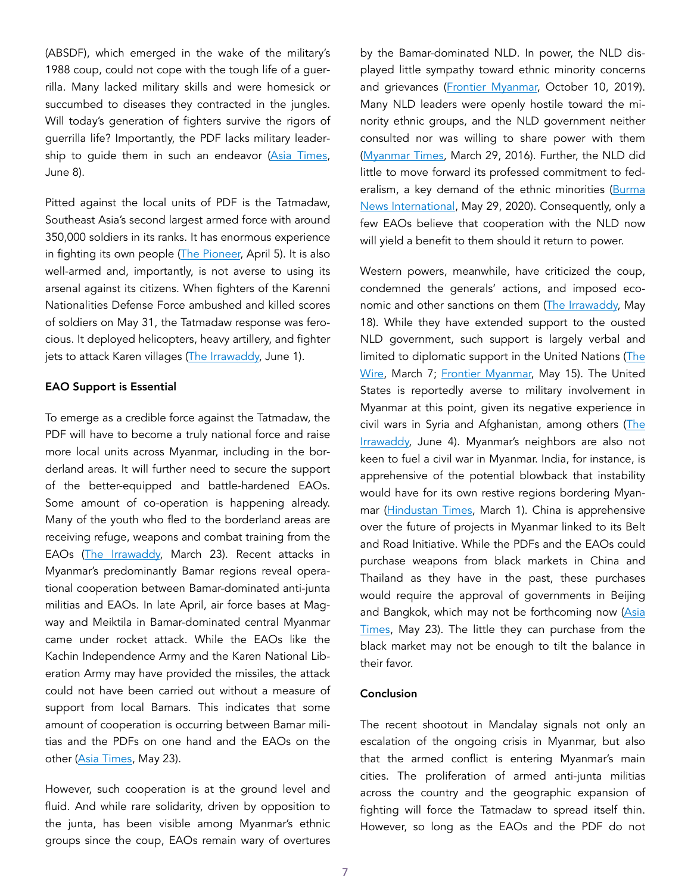(ABSDF), which emerged in the wake of the military's 1988 coup, could not cope with the tough life of a guerrilla. Many lacked military skills and were homesick or succumbed to diseases they contracted in the jungles. Will today's generation of fighters survive the rigors of guerrilla life? Importantly, the PDF lacks military leader-ship to guide them in such an endeavor ([Asia Times,](https://asiatimes.com/2021/06/myanmar-peoples-army-aims-wishfully-at-tatmadaw/) June 8).

Pitted against the local units of PDF is the Tatmadaw, Southeast Asia's second largest armed force with around 350,000 soldiers in its ranks. It has enormous experience in fighting its own people ([The Pioneer,](https://www.dailypioneer.com/2021/columnists/myanmar-should-stick-to-non-violence-to-counter-tatmadaw.html) April 5). It is also well-armed and, importantly, is not averse to using its arsenal against its citizens. When fighters of the Karenni Nationalities Defense Force ambushed and killed scores of soldiers on May 31, the Tatmadaw response was ferocious. It deployed helicopters, heavy artillery, and fighter jets to attack Karen villages ([The Irrawaddy,](https://www.irrawaddy.com/news/burma/at-least-80-myanmar-soldiers-killed-kayah-resistance.html) June 1).

#### EAO Support is Essential

To emerge as a credible force against the Tatmadaw, the PDF will have to become a truly national force and raise more local units across Myanmar, including in the borderland areas. It will further need to secure the support of the better-equipped and battle-hardened EAOs. Some amount of co-operation is happening already. Many of the youth who fled to the borderland areas are receiving refuge, weapons and combat training from the EAOs ([The Irrawaddy,](https://www.irrawaddy.com/news/burma/dissidents-fleeing-myanmar-junta-find-shelter-support-ethnic-armed-groups.html) March 23). Recent attacks in Myanmar's predominantly Bamar regions reveal operational cooperation between Bamar-dominated anti-junta militias and EAOs. In late April, air force bases at Magway and Meiktila in Bamar-dominated central Myanmar came under rocket attack. While the EAOs like the Kachin Independence Army and the Karen National Liberation Army may have provided the missiles, the attack could not have been carried out without a measure of support from local Bamars. This indicates that some amount of cooperation is occurring between Bamar militias and the PDFs on one hand and the EAOs on the other [\(Asia Times,](https://asiatimes.com/2021/05/why-myanmars-civil-war-wont-be-like-syrias/) May 23).

However, such cooperation is at the ground level and fluid. And while rare solidarity, driven by opposition to the junta, has been visible among Myanmar's ethnic groups since the coup, EAOs remain wary of overtures

by the Bamar-dominated NLD. In power, the NLD displayed little sympathy toward ethnic minority concerns and grievances ([Frontier Myanmar](https://www.frontiermyanmar.net/en/the-governments-pointless-battles-with-ethnic-activists/), October 10, 2019). Many NLD leaders were openly hostile toward the minority ethnic groups, and the NLD government neither consulted nor was willing to share power with them ([Myanmar Times](https://www.mmtimes.com/national-news/19694-nld-control-over-chief-ministers-riles-ethnic-parties.html), March 29, 2016). Further, the NLD did little to move forward its professed commitment to fed-eralism, a key demand of the ethnic minorities ([Burma](https://www.bnionline.net/en/news/nlds-broken-promises-arakan) [News International](https://www.bnionline.net/en/news/nlds-broken-promises-arakan), May 29, 2020). Consequently, only a few EAOs believe that cooperation with the NLD now will yield a benefit to them should it return to power.

Western powers, meanwhile, have criticized the coup, condemned the generals' actions, and imposed economic and other sanctions on them [\(The Irrawaddy,](https://www.irrawaddy.com/news/burma/us-slaps-sanctions-on-more-myanmar-junta-members-ruling-body.html) May 18). While they have extended support to the ousted NLD government, such support is largely verbal and limited to diplomatic support in the United Nations [\(The](https://thewire.in/world/unsc-watch-new-president-us-puts-myanmar-front-and-centre-at-council) [Wire](https://thewire.in/world/unsc-watch-new-president-us-puts-myanmar-front-and-centre-at-council), March 7; [Frontier Myanmar,](https://www.frontiermyanmar.net/en/eu-britain-denounce-myanmar-violence-at-un-security-council/) May 15). The United States is reportedly averse to military involvement in Myanmar at this point, given its negative experience in civil wars in Syria and Afghanistan, among others [\(The](https://www.irrawaddy.com/opinion/guest-column/the-rise-and-fall-of-americas-muscular-humanitarianism-in-myanmar.html) [Irrawaddy,](https://www.irrawaddy.com/opinion/guest-column/the-rise-and-fall-of-americas-muscular-humanitarianism-in-myanmar.html) June 4). Myanmar's neighbors are also not keen to fuel a civil war in Myanmar. India, for instance, is apprehensive of the potential blowback that instability would have for its own restive regions bordering Myanmar ([Hindustan Times](https://www.hindustantimes.com/opinion/as-myanmar-turns-violent-india-can-adopt-a-two-track-approach-101614603625885.html), March 1). China is apprehensive over the future of projects in Myanmar linked to its Belt and Road Initiative. While the PDFs and the EAOs could purchase weapons from black markets in China and Thailand as they have in the past, these purchases would require the approval of governments in Beijing and Bangkok, which may not be forthcoming now [\(Asia](https://asiatimes.com/2021/05/why-myanmars-civil-war-wont-be-like-syrias/) [Times,](https://asiatimes.com/2021/05/why-myanmars-civil-war-wont-be-like-syrias/) May 23). The little they can purchase from the black market may not be enough to tilt the balance in their favor.

#### Conclusion

The recent shootout in Mandalay signals not only an escalation of the ongoing crisis in Myanmar, but also that the armed conflict is entering Myanmar's main cities. The proliferation of armed anti-junta militias across the country and the geographic expansion of fighting will force the Tatmadaw to spread itself thin. However, so long as the EAOs and the PDF do not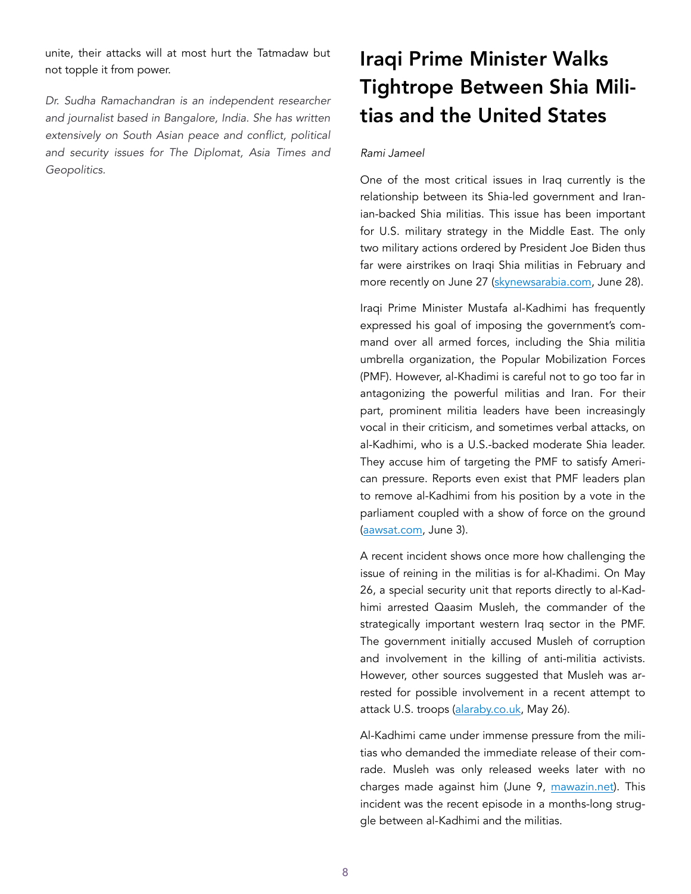unite, their attacks will at most hurt the Tatmadaw but not topple it from power.

*Dr. Sudha Ramachandran is an independent researcher and journalist based in Bangalore, India. She has written extensively on South Asian peace and conflict, political and security issues for The Diplomat, Asia Times and Geopolitics.* 

# Iraqi Prime Minister Walks Tightrope Between Shia Militias and the United States

#### *Rami Jameel*

One of the most critical issues in Iraq currently is the relationship between its Shia-led government and Iranian-backed Shia militias. This issue has been important for U.S. military strategy in the Middle East. The only two military actions ordered by President Joe Biden thus far were airstrikes on Iraqi Shia militias in February and more recently on June 27 [\(skynewsarabia.com](https://www.skynewsarabia.com/middle-east/1447722-), June 28).

Iraqi Prime Minister Mustafa al-Kadhimi has frequently expressed his goal of imposing the government's command over all armed forces, including the Shia militia umbrella organization, the Popular Mobilization Forces (PMF). However, al-Khadimi is careful not to go too far in antagonizing the powerful militias and Iran. For their part, prominent militia leaders have been increasingly vocal in their criticism, and sometimes verbal attacks, on al-Kadhimi, who is a U.S.-backed moderate Shia leader. They accuse him of targeting the PMF to satisfy American pressure. Reports even exist that PMF leaders plan to remove al-Kadhimi from his position by a vote in the parliament coupled with a show of force on the ground ([aawsat.com](https://aawsat.com/home/article/3006591/), June 3).

A recent incident shows once more how challenging the issue of reining in the militias is for al-Khadimi. On May 26, a special security unit that reports directly to al-Kadhimi arrested Qaasim Musleh, the commander of the strategically important western Iraq sector in the PMF. The government initially accused Musleh of corruption and involvement in the killing of anti-militia activists. However, other sources suggested that Musleh was arrested for possible involvement in a recent attempt to attack U.S. troops ([alaraby.co.uk,](https://www.alaraby.co.uk/politics/) May 26).

Al-Kadhimi came under immense pressure from the militias who demanded the immediate release of their comrade. Musleh was only released weeks later with no charges made against him (June 9, [mawazin.net\)](https://www.mawazin.net/Details.aspx?Jimare=156331). This incident was the recent episode in a months-long struggle between al-Kadhimi and the militias.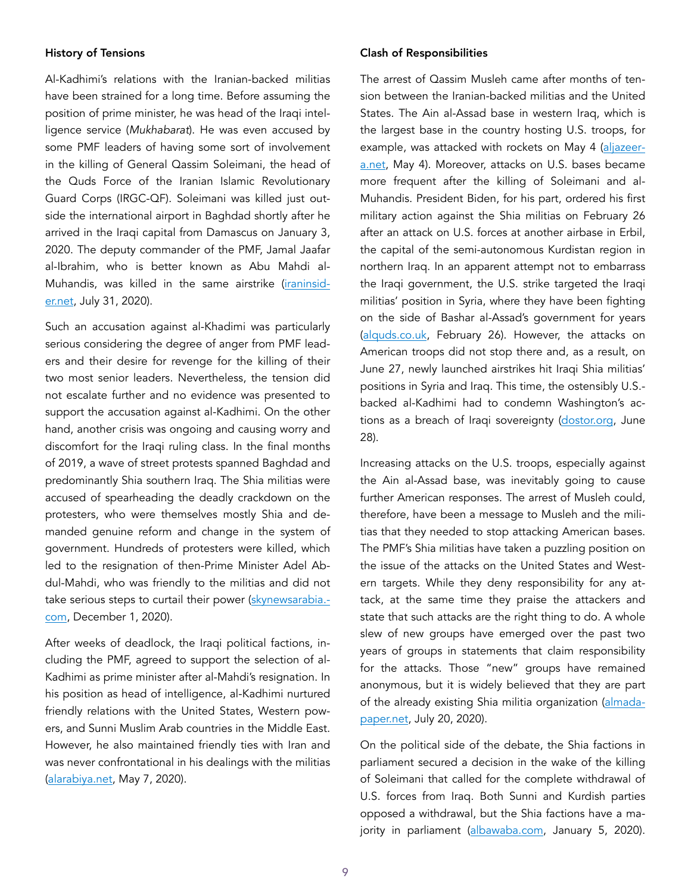#### History of Tensions

Al-Kadhimi's relations with the Iranian-backed militias have been strained for a long time. Before assuming the position of prime minister, he was head of the Iraqi intelligence service (*Mukhabarat*). He was even accused by some PMF leaders of having some sort of involvement in the killing of General Qassim Soleimani, the head of the Quds Force of the Iranian Islamic Revolutionary Guard Corps (IRGC-QF). Soleimani was killed just outside the international airport in Baghdad shortly after he arrived in the Iraqi capital from Damascus on January 3, 2020. The deputy commander of the PMF, Jamal Jaafar al-Ibrahim, who is better known as Abu Mahdi al-Muhandis, was killed in the same airstrike [\(iraninsid](https://iraninsider.net/ar/post/1919/)[er.net](https://iraninsider.net/ar/post/1919/), July 31, 2020).

Such an accusation against al-Khadimi was particularly serious considering the degree of anger from PMF leaders and their desire for revenge for the killing of their two most senior leaders. Nevertheless, the tension did not escalate further and no evidence was presented to support the accusation against al-Kadhimi. On the other hand, another crisis was ongoing and causing worry and discomfort for the Iraqi ruling class. In the final months of 2019, a wave of street protests spanned Baghdad and predominantly Shia southern Iraq. The Shia militias were accused of spearheading the deadly crackdown on the protesters, who were themselves mostly Shia and demanded genuine reform and change in the system of government. Hundreds of protesters were killed, which led to the resignation of then-Prime Minister Adel Abdul-Mahdi, who was friendly to the militias and did not take serious steps to curtail their power ([skynewsarabia.](https://www.skynewsarabia.com/middle-east/1302048-)[com](https://www.skynewsarabia.com/middle-east/1302048-), December 1, 2020).

After weeks of deadlock, the Iraqi political factions, including the PMF, agreed to support the selection of al-Kadhimi as prime minister after al-Mahdi's resignation. In his position as head of intelligence, al-Kadhimi nurtured friendly relations with the United States, Western powers, and Sunni Muslim Arab countries in the Middle East. However, he also maintained friendly ties with Iran and was never confrontational in his dealings with the militias ([alarabiya.net,](https://www.alarabiya.net/arab-and-world/iraq/2020/05/07/) May 7, 2020).

#### Clash of Responsibilities

The arrest of Qassim Musleh came after months of tension between the Iranian-backed militias and the United States. The Ain al-Assad base in western Iraq, which is the largest base in the country hosting U.S. troops, for example, was attacked with rockets on May 4 ([aljazeer](https://www.aljazeera.net/news/2021/5/4/)[a.net,](https://www.aljazeera.net/news/2021/5/4/) May 4). Moreover, attacks on U.S. bases became more frequent after the killing of Soleimani and al-Muhandis. President Biden, for his part, ordered his first military action against the Shia militias on February 26 after an attack on U.S. forces at another airbase in Erbil, the capital of the semi-autonomous Kurdistan region in northern Iraq. In an apparent attempt not to embarrass the Iraqi government, the U.S. strike targeted the Iraqi militias' position in Syria, where they have been fighting on the side of Bashar al-Assad's government for years ([alquds.co.uk](https://www.alquds.co.uk/), February 26). However, the attacks on American troops did not stop there and, as a result, on June 27, newly launched airstrikes hit Iraqi Shia militias' positions in Syria and Iraq. This time, the ostensibly U.S. backed al-Kadhimi had to condemn Washington's actions as a breach of Iraqi sovereignty ([dostor.org,](https://www.dostor.org/3494327) June 28).

Increasing attacks on the U.S. troops, especially against the Ain al-Assad base, was inevitably going to cause further American responses. The arrest of Musleh could, therefore, have been a message to Musleh and the militias that they needed to stop attacking American bases. The PMF's Shia militias have taken a puzzling position on the issue of the attacks on the United States and Western targets. While they deny responsibility for any attack, at the same time they praise the attackers and state that such attacks are the right thing to do. A whole slew of new groups have emerged over the past two years of groups in statements that claim responsibility for the attacks. Those "new" groups have remained anonymous, but it is widely believed that they are part of the already existing Shia militia organization [\(almada](https://almadapaper.net/view.php?cat=228601)[paper.net,](https://almadapaper.net/view.php?cat=228601) July 20, 2020).

On the political side of the debate, the Shia factions in parliament secured a decision in the wake of the killing of Soleimani that called for the complete withdrawal of U.S. forces from Iraq. Both Sunni and Kurdish parties opposed a withdrawal, but the Shia factions have a majority in parliament ([albawaba.com,](https://www.albawaba.com/ar/) January 5, 2020).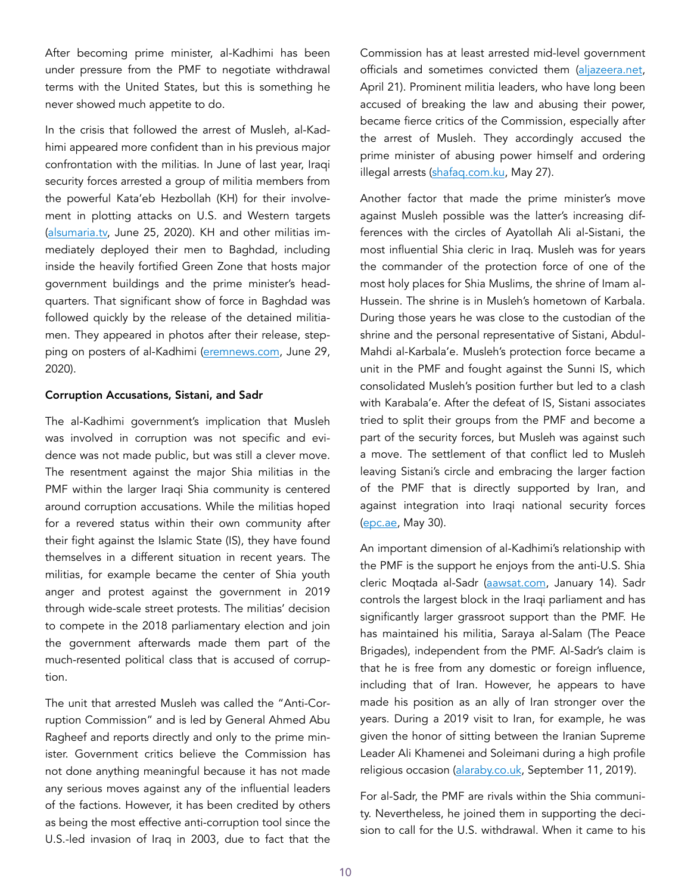After becoming prime minister, al-Kadhimi has been under pressure from the PMF to negotiate withdrawal terms with the United States, but this is something he never showed much appetite to do.

In the crisis that followed the arrest of Musleh, al-Kadhimi appeared more confident than in his previous major confrontation with the militias. In June of last year, Iraqi security forces arrested a group of militia members from the powerful Kata'eb Hezbollah (KH) for their involvement in plotting attacks on U.S. and Western targets ([alsumaria.tv,](https://www.alsumaria.tv/news/) June 25, 2020). KH and other militias immediately deployed their men to Baghdad, including inside the heavily fortified Green Zone that hosts major government buildings and the prime minister's headquarters. That significant show of force in Baghdad was followed quickly by the release of the detained militiamen. They appeared in photos after their release, stepping on posters of al-Kadhimi [\(eremnews.com,](https://www.eremnews.com/news/arab-world/2269527) June 29, 2020).

#### Corruption Accusations, Sistani, and Sadr

The al-Kadhimi government's implication that Musleh was involved in corruption was not specific and evidence was not made public, but was still a clever move. The resentment against the major Shia militias in the PMF within the larger Iraqi Shia community is centered around corruption accusations. While the militias hoped for a revered status within their own community after their fight against the Islamic State (IS), they have found themselves in a different situation in recent years. The militias, for example became the center of Shia youth anger and protest against the government in 2019 through wide-scale street protests. The militias' decision to compete in the 2018 parliamentary election and join the government afterwards made them part of the much-resented political class that is accused of corruption.

The unit that arrested Musleh was called the "Anti-Corruption Commission" and is led by General Ahmed Abu Ragheef and reports directly and only to the prime minister. Government critics believe the Commission has not done anything meaningful because it has not made any serious moves against any of the influential leaders of the factions. However, it has been credited by others as being the most effective anti-corruption tool since the U.S.-led invasion of Iraq in 2003, due to fact that the

Commission has at least arrested mid-level government officials and sometimes convicted them ([aljazeera.net](https://www.aljazeera.net/news/2021/4/21/), April 21). Prominent militia leaders, who have long been accused of breaking the law and abusing their power, became fierce critics of the Commission, especially after the arrest of Musleh. They accordingly accused the prime minister of abusing power himself and ordering illegal arrests (shafaq.com.ku, May 27).

Another factor that made the prime minister's move against Musleh possible was the latter's increasing differences with the circles of Ayatollah Ali al-Sistani, the most influential Shia cleric in Iraq. Musleh was for years the commander of the protection force of one of the most holy places for Shia Muslims, the shrine of Imam al-Hussein. The shrine is in Musleh's hometown of Karbala. During those years he was close to the custodian of the shrine and the personal representative of Sistani, Abdul-Mahdi al-Karbala'e. Musleh's protection force became a unit in the PMF and fought against the Sunni IS, which consolidated Musleh's position further but led to a clash with Karabala'e. After the defeat of IS, Sistani associates tried to split their groups from the PMF and become a part of the security forces, but Musleh was against such a move. The settlement of that conflict led to Musleh leaving Sistani's circle and embracing the larger faction of the PMF that is directly supported by Iran, and against integration into Iraqi national security forces ([epc.ae,](https://epc.ae/ar/brief/iraq-will-pro-sistani-and-pro-iran-popular-mobilization-units-split) May 30).

An important dimension of al-Kadhimi's relationship with the PMF is the support he enjoys from the anti-U.S. Shia cleric Moqtada al-Sadr [\(aawsat.com,](https://aawsat.com/home/article/2740181/) January 14). Sadr controls the largest block in the Iraqi parliament and has significantly larger grassroot support than the PMF. He has maintained his militia, Saraya al-Salam (The Peace Brigades), independent from the PMF. Al-Sadr's claim is that he is free from any domestic or foreign influence, including that of Iran. However, he appears to have made his position as an ally of Iran stronger over the years. During a 2019 visit to Iran, for example, he was given the honor of sitting between the Iranian Supreme Leader Ali Khamenei and Soleimani during a high profile religious occasion (alaraby.co.uk, September 11, 2019).

For al-Sadr, the PMF are rivals within the Shia community. Nevertheless, he joined them in supporting the decision to call for the U.S. withdrawal. When it came to his